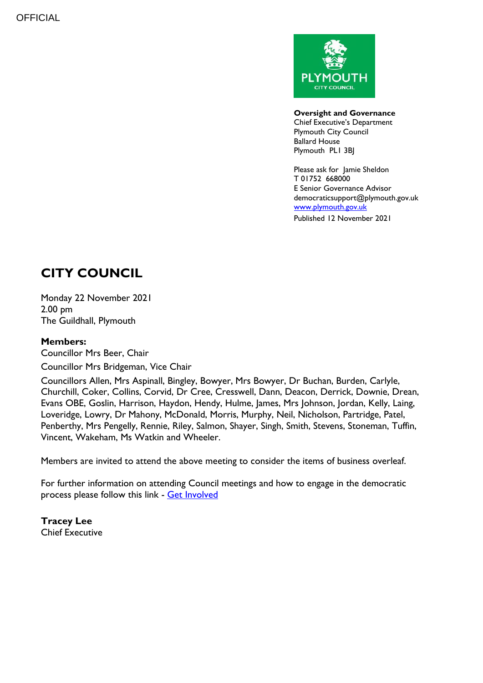

**Oversight and Governance** Chief Executive's Department Plymouth City Council Ballard House Plymouth PL1 3BJ

Please ask for Jamie Sheldon T 01752 668000 E Senior Governance Advisor democraticsupport@plymouth.gov.uk [www.plymouth.gov.uk](https://www.plymouth.gov.uk/councillorscommitteesandmeetings) Published 12 November 2021

# **CITY COUNCIL**

Monday 22 November 2021 2.00 pm The Guildhall, Plymouth

#### **Members:**

Councillor Mrs Beer, Chair

Councillor Mrs Bridgeman, Vice Chair

Councillors Allen, Mrs Aspinall, Bingley, Bowyer, Mrs Bowyer, Dr Buchan, Burden, Carlyle, Churchill, Coker, Collins, Corvid, Dr Cree, Cresswell, Dann, Deacon, Derrick, Downie, Drean, Evans OBE, Goslin, Harrison, Haydon, Hendy, Hulme, James, Mrs Johnson, Jordan, Kelly, Laing, Loveridge, Lowry, Dr Mahony, McDonald, Morris, Murphy, Neil, Nicholson, Partridge, Patel, Penberthy, Mrs Pengelly, Rennie, Riley, Salmon, Shayer, Singh, Smith, Stevens, Stoneman, Tuffin, Vincent, Wakeham, Ms Watkin and Wheeler.

Members are invited to attend the above meeting to consider the items of business overleaf.

For further information on attending Council meetings and how to engage in the democratic process please follow this link - [Get Involved](https://www.plymouth.gov.uk/councillorscommitteesandmeetings/getinvolved)

**Tracey Lee** Chief Executive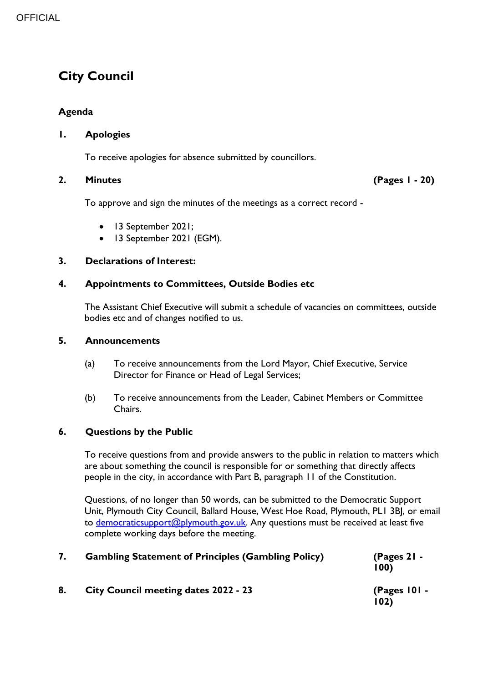## **City Council**

#### **Agenda**

#### **1. Apologies**

To receive apologies for absence submitted by councillors.

#### **2. Minutes (Pages 1 - 20)**

To approve and sign the minutes of the meetings as a correct record -

- 13 September 2021;
- 13 September 2021 (EGM).

#### **3. Declarations of Interest:**

#### **4. Appointments to Committees, Outside Bodies etc**

The Assistant Chief Executive will submit a schedule of vacancies on committees, outside bodies etc and of changes notified to us.

#### **5. Announcements**

- (a) To receive announcements from the Lord Mayor, Chief Executive, Service Director for Finance or Head of Legal Services;
- (b) To receive announcements from the Leader, Cabinet Members or Committee Chairs.

#### **6. Questions by the Public**

To receive questions from and provide answers to the public in relation to matters which are about something the council is responsible for or something that directly affects people in the city, in accordance with Part B, paragraph 11 of the Constitution.

Questions, of no longer than 50 words, can be submitted to the Democratic Support Unit, Plymouth City Council, Ballard House, West Hoe Road, Plymouth, PL1 3BJ, or email to [democraticsupport@plymouth.gov.uk.](mailto:DEMOCRATICSUPPORT@PLYMOUTH.GOV.UK) Any questions must be received at least five complete working days before the meeting.

| 7. | <b>Gambling Statement of Principles (Gambling Policy)</b> | $(Pages 21 -$<br>100   |
|----|-----------------------------------------------------------|------------------------|
| 8. | <b>City Council meeting dates 2022 - 23</b>               | (Pages $101 -$<br>102) |